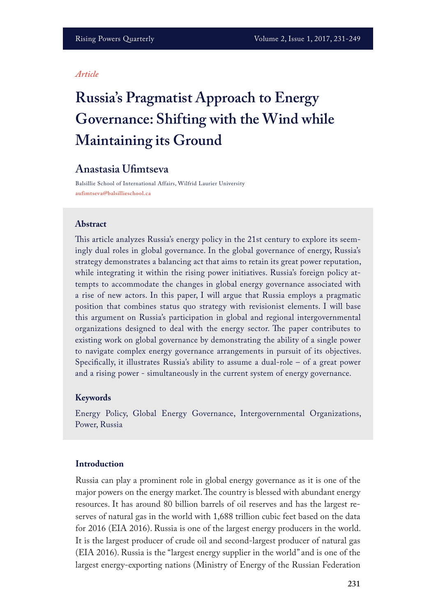#### *Article*

# **Russia's Pragmatist Approach to Energy Governance: Shifting with the Wind while Maintaining its Ground**

# **Anastasia Ufmtseva**

Balsillie School of International Affairs, Wilfrid Laurier University **aufimtseva@balsillieschool.ca**

#### **Abstract**

This article analyzes Russia's energy policy in the 21st century to explore its seemingly dual roles in global governance. In the global governance of energy, Russia's strategy demonstrates a balancing act that aims to retain its great power reputation, while integrating it within the rising power initiatives. Russia's foreign policy attempts to accommodate the changes in global energy governance associated with a rise of new actors. In this paper, I will argue that Russia employs a pragmatic position that combines status quo strategy with revisionist elements. I will base this argument on Russia's participation in global and regional intergovernmental organizations designed to deal with the energy sector. The paper contributes to existing work on global governance by demonstrating the ability of a single power to navigate complex energy governance arrangements in pursuit of its objectives. Specifcally, it illustrates Russia's ability to assume a dual-role – of a great power and a rising power - simultaneously in the current system of energy governance.

#### **Keywords**

Energy Policy, Global Energy Governance, Intergovernmental Organizations, Power, Russia

### **Introduction**

Russia can play a prominent role in global energy governance as it is one of the major powers on the energy market. The country is blessed with abundant energy resources. It has around 80 billion barrels of oil reserves and has the largest reserves of natural gas in the world with 1,688 trillion cubic feet based on the data for 2016 (EIA 2016). Russia is one of the largest energy producers in the world. It is the largest producer of crude oil and second-largest producer of natural gas (EIA 2016). Russia is the "largest energy supplier in the world" and is one of the largest energy-exporting nations (Ministry of Energy of the Russian Federation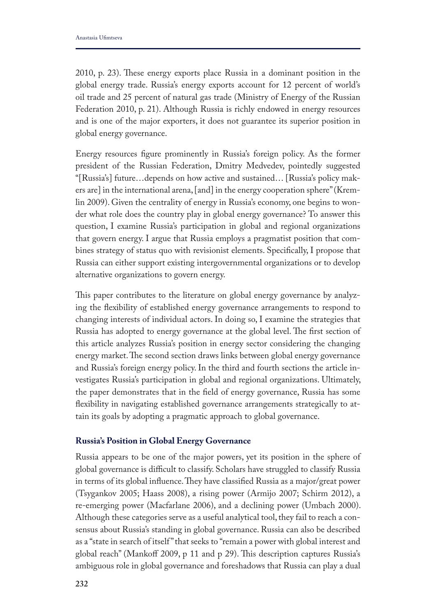2010, p. 23). These energy exports place Russia in a dominant position in the global energy trade. Russia's energy exports account for 12 percent of world's oil trade and 25 percent of natural gas trade (Ministry of Energy of the Russian Federation 2010, p. 21). Although Russia is richly endowed in energy resources and is one of the major exporters, it does not guarantee its superior position in global energy governance.

Energy resources fgure prominently in Russia's foreign policy. As the former president of the Russian Federation, Dmitry Medvedev, pointedly suggested "[Russia's] future…depends on how active and sustained… [Russia's policy makers are] in the international arena, [and] in the energy cooperation sphere" (Kremlin 2009). Given the centrality of energy in Russia's economy, one begins to wonder what role does the country play in global energy governance? To answer this question, I examine Russia's participation in global and regional organizations that govern energy. I argue that Russia employs a pragmatist position that combines strategy of status quo with revisionist elements. Specifcally, I propose that Russia can either support existing intergovernmental organizations or to develop alternative organizations to govern energy.

This paper contributes to the literature on global energy governance by analyzing the fexibility of established energy governance arrangements to respond to changing interests of individual actors. In doing so, I examine the strategies that Russia has adopted to energy governance at the global level. The first section of this article analyzes Russia's position in energy sector considering the changing energy market. The second section draws links between global energy governance and Russia's foreign energy policy. In the third and fourth sections the article investigates Russia's participation in global and regional organizations. Ultimately, the paper demonstrates that in the feld of energy governance, Russia has some fexibility in navigating established governance arrangements strategically to attain its goals by adopting a pragmatic approach to global governance.

#### **Russia's Position in Global Energy Governance**

Russia appears to be one of the major powers, yet its position in the sphere of global governance is difficult to classify. Scholars have struggled to classify Russia in terms of its global influence. They have classified Russia as a major/great power (Tsygankov 2005; Haass 2008), a rising power (Armijo 2007; Schirm 2012), a re-emerging power (Macfarlane 2006), and a declining power (Umbach 2000). Although these categories serve as a useful analytical tool, they fail to reach a consensus about Russia's standing in global governance. Russia can also be described as a "state in search of itself" that seeks to "remain a power with global interest and global reach" (Mankoff 2009, p 11 and p 29). This description captures Russia's ambiguous role in global governance and foreshadows that Russia can play a dual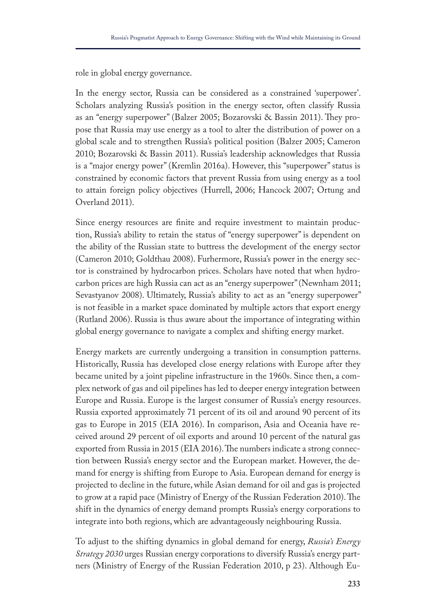role in global energy governance.

In the energy sector, Russia can be considered as a constrained 'superpower'. Scholars analyzing Russia's position in the energy sector, often classify Russia as an "energy superpower" (Balzer 2005; Bozarovski & Bassin 2011). They propose that Russia may use energy as a tool to alter the distribution of power on a global scale and to strengthen Russia's political position (Balzer 2005; Cameron 2010; Bozarovski & Bassin 2011). Russia's leadership acknowledges that Russia is a "major energy power" (Kremlin 2016a). However, this "superpower" status is constrained by economic factors that prevent Russia from using energy as a tool to attain foreign policy objectives (Hurrell, 2006; Hancock 2007; Ortung and Overland 2011).

Since energy resources are fnite and require investment to maintain production, Russia's ability to retain the status of "energy superpower" is dependent on the ability of the Russian state to buttress the development of the energy sector (Cameron 2010; Goldthau 2008). Furhermore, Russia's power in the energy sector is constrained by hydrocarbon prices. Scholars have noted that when hydrocarbon prices are high Russia can act as an "energy superpower" (Newnham 2011; Sevastyanov 2008). Ultimately, Russia's ability to act as an "energy superpower" is not feasible in a market space dominated by multiple actors that export energy (Rutland 2006). Russia is thus aware about the importance of integrating within global energy governance to navigate a complex and shifting energy market.

Energy markets are currently undergoing a transition in consumption patterns. Historically, Russia has developed close energy relations with Europe after they became united by a joint pipeline infrastructure in the 1960s. Since then, a complex network of gas and oil pipelines has led to deeper energy integration between Europe and Russia. Europe is the largest consumer of Russia's energy resources. Russia exported approximately 71 percent of its oil and around 90 percent of its gas to Europe in 2015 (EIA 2016). In comparison, Asia and Oceania have received around 29 percent of oil exports and around 10 percent of the natural gas exported from Russia in 2015 (EIA 2016). The numbers indicate a strong connection between Russia's energy sector and the European market. However, the demand for energy is shifting from Europe to Asia. European demand for energy is projected to decline in the future, while Asian demand for oil and gas is projected to grow at a rapid pace (Ministry of Energy of the Russian Federation 2010). The shift in the dynamics of energy demand prompts Russia's energy corporations to integrate into both regions, which are advantageously neighbouring Russia.

To adjust to the shifting dynamics in global demand for energy, *Russia's Energy Strategy 2030* urges Russian energy corporations to diversify Russia's energy partners (Ministry of Energy of the Russian Federation 2010, p 23). Although Eu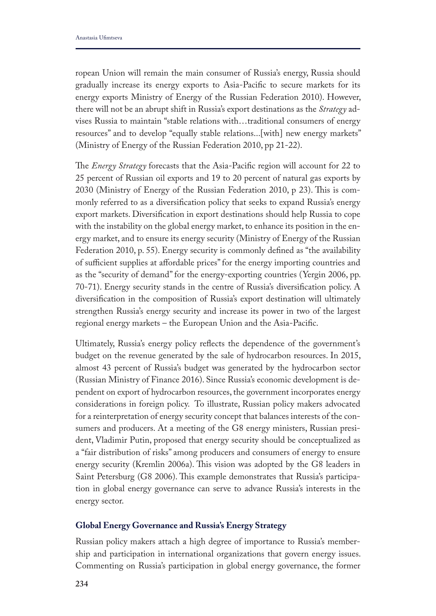ropean Union will remain the main consumer of Russia's energy, Russia should gradually increase its energy exports to Asia-Pacifc to secure markets for its energy exports Ministry of Energy of the Russian Federation 2010). However, there will not be an abrupt shift in Russia's export destinations as the *Strategy* advises Russia to maintain "stable relations with…traditional consumers of energy resources" and to develop "equally stable relations...[with] new energy markets" (Ministry of Energy of the Russian Federation 2010, pp 21-22).

The *Energy Strategy* forecasts that the Asia-Pacific region will account for 22 to 25 percent of Russian oil exports and 19 to 20 percent of natural gas exports by 2030 (Ministry of Energy of the Russian Federation 2010, p 23). This is commonly referred to as a diversifcation policy that seeks to expand Russia's energy export markets. Diversifcation in export destinations should help Russia to cope with the instability on the global energy market, to enhance its position in the energy market, and to ensure its energy security (Ministry of Energy of the Russian Federation 2010, p. 55). Energy security is commonly defned as "the availability of sufficient supplies at affordable prices" for the energy importing countries and as the "security of demand" for the energy-exporting countries (Yergin 2006, pp. 70-71). Energy security stands in the centre of Russia's diversifcation policy. A diversifcation in the composition of Russia's export destination will ultimately strengthen Russia's energy security and increase its power in two of the largest regional energy markets – the European Union and the Asia-Pacifc.

Ultimately, Russia's energy policy refects the dependence of the government's budget on the revenue generated by the sale of hydrocarbon resources. In 2015, almost 43 percent of Russia's budget was generated by the hydrocarbon sector (Russian Ministry of Finance 2016). Since Russia's economic development is dependent on export of hydrocarbon resources, the government incorporates energy considerations in foreign policy. To illustrate, Russian policy makers advocated for a reinterpretation of energy security concept that balances interests of the consumers and producers. At a meeting of the G8 energy ministers, Russian president, Vladimir Putin, proposed that energy security should be conceptualized as a "fair distribution of risks" among producers and consumers of energy to ensure energy security (Kremlin 2006a). This vision was adopted by the G8 leaders in Saint Petersburg (G8 2006). This example demonstrates that Russia's participation in global energy governance can serve to advance Russia's interests in the energy sector.

## **Global Energy Governance and Russia's Energy Strategy**

Russian policy makers attach a high degree of importance to Russia's membership and participation in international organizations that govern energy issues. Commenting on Russia's participation in global energy governance, the former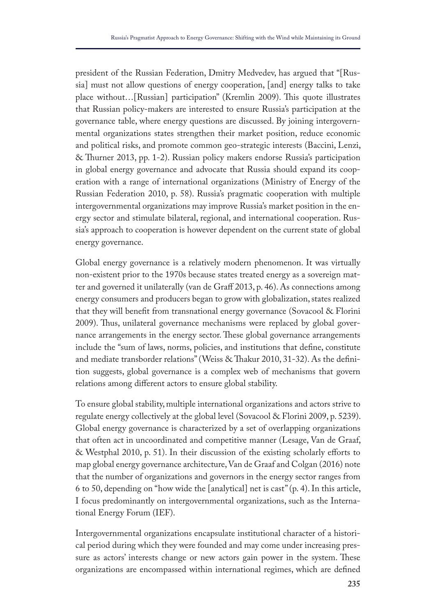president of the Russian Federation, Dmitry Medvedev, has argued that "[Russia] must not allow questions of energy cooperation, [and] energy talks to take place without...[Russian] participation" (Kremlin 2009). This quote illustrates that Russian policy-makers are interested to ensure Russia's participation at the governance table, where energy questions are discussed. By joining intergovernmental organizations states strengthen their market position, reduce economic and political risks, and promote common geo-strategic interests (Baccini, Lenzi, & Turner 2013, pp. 1-2). Russian policy makers endorse Russia's participation in global energy governance and advocate that Russia should expand its cooperation with a range of international organizations (Ministry of Energy of the Russian Federation 2010, p. 58). Russia's pragmatic cooperation with multiple intergovernmental organizations may improve Russia's market position in the energy sector and stimulate bilateral, regional, and international cooperation. Russia's approach to cooperation is however dependent on the current state of global energy governance.

Global energy governance is a relatively modern phenomenon. It was virtually non-existent prior to the 1970s because states treated energy as a sovereign matter and governed it unilaterally (van de Graf 2013, p. 46). As connections among energy consumers and producers began to grow with globalization, states realized that they will beneft from transnational energy governance (Sovacool & Florini 2009). Thus, unilateral governance mechanisms were replaced by global governance arrangements in the energy sector. These global governance arrangements include the "sum of laws, norms, policies, and institutions that defne, constitute and mediate transborder relations" (Weiss & Takur 2010, 31-32). As the defnition suggests, global governance is a complex web of mechanisms that govern relations among diferent actors to ensure global stability.

To ensure global stability, multiple international organizations and actors strive to regulate energy collectively at the global level (Sovacool & Florini 2009, p. 5239). Global energy governance is characterized by a set of overlapping organizations that often act in uncoordinated and competitive manner (Lesage, Van de Graaf, & Westphal 2010, p. 51). In their discussion of the existing scholarly eforts to map global energy governance architecture, Van de Graaf and Colgan (2016) note that the number of organizations and governors in the energy sector ranges from 6 to 50, depending on "how wide the [analytical] net is cast" (p. 4). In this article, I focus predominantly on intergovernmental organizations, such as the International Energy Forum (IEF).

Intergovernmental organizations encapsulate institutional character of a historical period during which they were founded and may come under increasing pressure as actors' interests change or new actors gain power in the system. These organizations are encompassed within international regimes, which are defned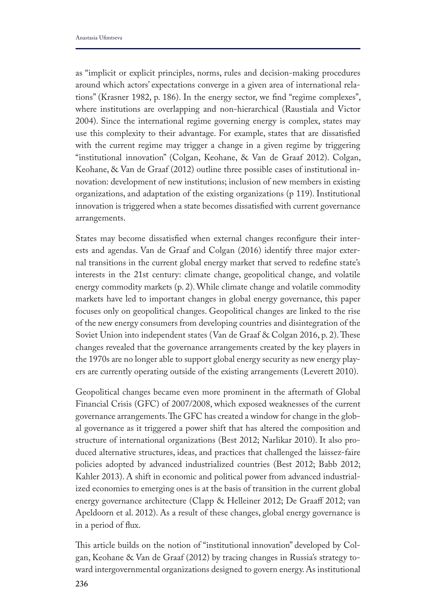as "implicit or explicit principles, norms, rules and decision-making procedures around which actors' expectations converge in a given area of international relations" (Krasner 1982, p. 186). In the energy sector, we fnd "regime complexes", where institutions are overlapping and non-hierarchical (Raustiala and Victor 2004). Since the international regime governing energy is complex, states may use this complexity to their advantage. For example, states that are dissatisfed with the current regime may trigger a change in a given regime by triggering "institutional innovation" (Colgan, Keohane, & Van de Graaf 2012). Colgan, Keohane, & Van de Graaf (2012) outline three possible cases of institutional innovation: development of new institutions; inclusion of new members in existing organizations, and adaptation of the existing organizations (p 119). Institutional innovation is triggered when a state becomes dissatisfed with current governance arrangements.

States may become dissatisfed when external changes reconfgure their interests and agendas. Van de Graaf and Colgan (2016) identify three major external transitions in the current global energy market that served to redefne state's interests in the 21st century: climate change, geopolitical change, and volatile energy commodity markets (p. 2). While climate change and volatile commodity markets have led to important changes in global energy governance, this paper focuses only on geopolitical changes. Geopolitical changes are linked to the rise of the new energy consumers from developing countries and disintegration of the Soviet Union into independent states (Van de Graaf & Colgan 2016, p. 2). These changes revealed that the governance arrangements created by the key players in the 1970s are no longer able to support global energy security as new energy players are currently operating outside of the existing arrangements (Leverett 2010).

Geopolitical changes became even more prominent in the aftermath of Global Financial Crisis (GFC) of 2007/2008, which exposed weaknesses of the current governance arrangements. The GFC has created a window for change in the global governance as it triggered a power shift that has altered the composition and structure of international organizations (Best 2012; Narlikar 2010). It also produced alternative structures, ideas, and practices that challenged the laissez-faire policies adopted by advanced industrialized countries (Best 2012; Babb 2012; Kahler 2013). A shift in economic and political power from advanced industrialized economies to emerging ones is at the basis of transition in the current global energy governance architecture (Clapp & Helleiner 2012; De Graaf 2012; van Apeldoorn et al. 2012). As a result of these changes, global energy governance is in a period of fux.

This article builds on the notion of "institutional innovation" developed by Colgan, Keohane & Van de Graaf (2012) by tracing changes in Russia's strategy toward intergovernmental organizations designed to govern energy. As institutional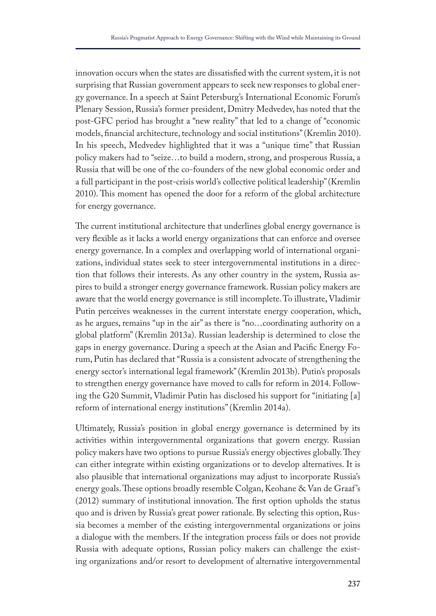innovation occurs when the states are dissatisfed with the current system, it is not surprising that Russian government appears to seek new responses to global energy governance. In a speech at Saint Petersburg's International Economic Forum's Plenary Session, Russia's former president, Dmitry Medvedev, has noted that the post-GFC period has brought a "new reality" that led to a change of "economic models, fnancial architecture, technology and social institutions" (Kremlin 2010). In his speech, Medvedev highlighted that it was a "unique time" that Russian policy makers had to "seize…to build a modern, strong, and prosperous Russia, a Russia that will be one of the co-founders of the new global economic order and a full participant in the post-crisis world's collective political leadership" (Kremlin 2010). This moment has opened the door for a reform of the global architecture for energy governance.

The current institutional architecture that underlines global energy governance is very fexible as it lacks a world energy organizations that can enforce and oversee energy governance. In a complex and overlapping world of international organizations, individual states seek to steer intergovernmental institutions in a direction that follows their interests. As any other country in the system, Russia aspires to build a stronger energy governance framework. Russian policy makers are aware that the world energy governance is still incomplete. To illustrate, Vladimir Putin perceives weaknesses in the current interstate energy cooperation, which, as he argues, remains "up in the air" as there is "no…coordinating authority on a global platform" (Kremlin 2013a). Russian leadership is determined to close the gaps in energy governance. During a speech at the Asian and Pacifc Energy Forum, Putin has declared that "Russia is a consistent advocate of strengthening the energy sector's international legal framework" (Kremlin 2013b). Putin's proposals to strengthen energy governance have moved to calls for reform in 2014. Following the G20 Summit, Vladimir Putin has disclosed his support for "initiating [a] reform of international energy institutions" (Kremlin 2014a).

Ultimately, Russia's position in global energy governance is determined by its activities within intergovernmental organizations that govern energy. Russian policy makers have two options to pursue Russia's energy objectives globally. Tey can either integrate within existing organizations or to develop alternatives. It is also plausible that international organizations may adjust to incorporate Russia's energy goals. These options broadly resemble Colgan, Keohane & Van de Graaf's  $(2012)$  summary of institutional innovation. The first option upholds the status quo and is driven by Russia's great power rationale. By selecting this option, Russia becomes a member of the existing intergovernmental organizations or joins a dialogue with the members. If the integration process fails or does not provide Russia with adequate options, Russian policy makers can challenge the existing organizations and/or resort to development of alternative intergovernmental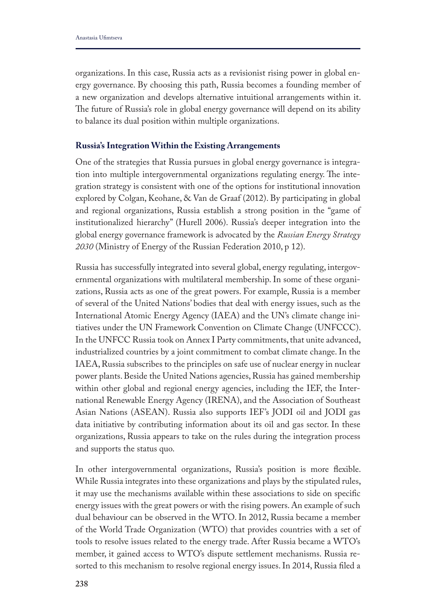organizations. In this case, Russia acts as a revisionist rising power in global energy governance. By choosing this path, Russia becomes a founding member of a new organization and develops alternative intuitional arrangements within it. The future of Russia's role in global energy governance will depend on its ability to balance its dual position within multiple organizations.

### **Russia's Integration Within the Existing Arrangements**

One of the strategies that Russia pursues in global energy governance is integration into multiple intergovernmental organizations regulating energy. The integration strategy is consistent with one of the options for institutional innovation explored by Colgan, Keohane, & Van de Graaf (2012). By participating in global and regional organizations, Russia establish a strong position in the "game of institutionalized hierarchy" (Hurell 2006). Russia's deeper integration into the global energy governance framework is advocated by the *Russian Energy Strategy 2030* (Ministry of Energy of the Russian Federation 2010, p 12).

Russia has successfully integrated into several global, energy regulating, intergovernmental organizations with multilateral membership. In some of these organizations, Russia acts as one of the great powers. For example, Russia is a member of several of the United Nations' bodies that deal with energy issues, such as the International Atomic Energy Agency (IAEA) and the UN's climate change initiatives under the UN Framework Convention on Climate Change (UNFCCC). In the UNFCC Russia took on Annex I Party commitments, that unite advanced, industrialized countries by a joint commitment to combat climate change. In the IAEA, Russia subscribes to the principles on safe use of nuclear energy in nuclear power plants. Beside the United Nations agencies, Russia has gained membership within other global and regional energy agencies, including the IEF, the International Renewable Energy Agency (IRENA), and the Association of Southeast Asian Nations (ASEAN). Russia also supports IEF's JODI oil and JODI gas data initiative by contributing information about its oil and gas sector. In these organizations, Russia appears to take on the rules during the integration process and supports the status quo.

In other intergovernmental organizations, Russia's position is more fexible. While Russia integrates into these organizations and plays by the stipulated rules, it may use the mechanisms available within these associations to side on specifc energy issues with the great powers or with the rising powers. An example of such dual behaviour can be observed in the WTO. In 2012, Russia became a member of the World Trade Organization (WTO) that provides countries with a set of tools to resolve issues related to the energy trade. After Russia became a WTO's member, it gained access to WTO's dispute settlement mechanisms. Russia resorted to this mechanism to resolve regional energy issues. In 2014, Russia fled a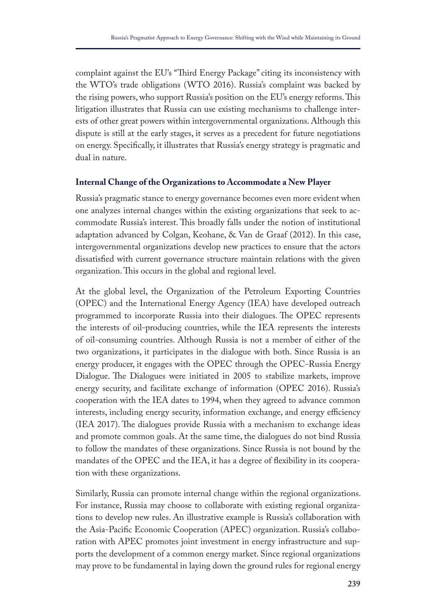complaint against the EU's "Third Energy Package" citing its inconsistency with the WTO's trade obligations (WTO 2016). Russia's complaint was backed by the rising powers, who support Russia's position on the EU's energy reforms. This litigation illustrates that Russia can use existing mechanisms to challenge interests of other great powers within intergovernmental organizations. Although this dispute is still at the early stages, it serves as a precedent for future negotiations on energy. Specifcally, it illustrates that Russia's energy strategy is pragmatic and dual in nature.

## **Internal Change of the Organizations to Accommodate a New Player**

Russia's pragmatic stance to energy governance becomes even more evident when one analyzes internal changes within the existing organizations that seek to accommodate Russia's interest. This broadly falls under the notion of institutional adaptation advanced by Colgan, Keohane, & Van de Graaf (2012). In this case, intergovernmental organizations develop new practices to ensure that the actors dissatisfed with current governance structure maintain relations with the given organization. This occurs in the global and regional level.

At the global level, the Organization of the Petroleum Exporting Countries (OPEC) and the International Energy Agency (IEA) have developed outreach programmed to incorporate Russia into their dialogues. The OPEC represents the interests of oil-producing countries, while the IEA represents the interests of oil-consuming countries. Although Russia is not a member of either of the two organizations, it participates in the dialogue with both. Since Russia is an energy producer, it engages with the OPEC through the OPEC-Russia Energy Dialogue. The Dialogues were initiated in 2005 to stabilize markets, improve energy security, and facilitate exchange of information (OPEC 2016). Russia's cooperation with the IEA dates to 1994, when they agreed to advance common interests, including energy security, information exchange, and energy efficiency (IEA 2017). The dialogues provide Russia with a mechanism to exchange ideas and promote common goals. At the same time, the dialogues do not bind Russia to follow the mandates of these organizations. Since Russia is not bound by the mandates of the OPEC and the IEA, it has a degree of fexibility in its cooperation with these organizations.

Similarly, Russia can promote internal change within the regional organizations. For instance, Russia may choose to collaborate with existing regional organizations to develop new rules. An illustrative example is Russia's collaboration with the Asia-Pacifc Economic Cooperation (APEC) organization. Russia's collaboration with APEC promotes joint investment in energy infrastructure and supports the development of a common energy market. Since regional organizations may prove to be fundamental in laying down the ground rules for regional energy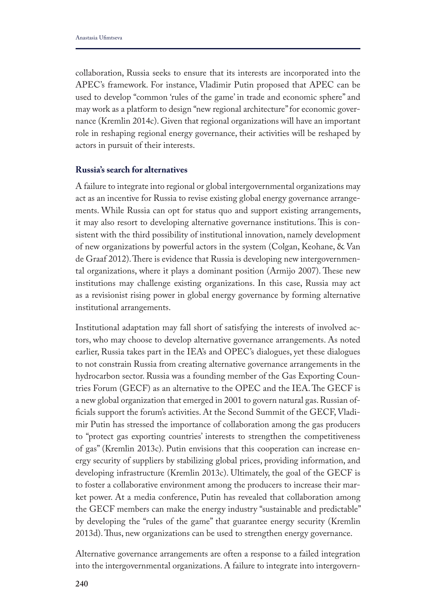collaboration, Russia seeks to ensure that its interests are incorporated into the APEC's framework. For instance, Vladimir Putin proposed that APEC can be used to develop "common 'rules of the game' in trade and economic sphere" and may work as a platform to design "new regional architecture" for economic governance (Kremlin 2014c). Given that regional organizations will have an important role in reshaping regional energy governance, their activities will be reshaped by actors in pursuit of their interests.

#### **Russia's search for alternatives**

A failure to integrate into regional or global intergovernmental organizations may act as an incentive for Russia to revise existing global energy governance arrangements. While Russia can opt for status quo and support existing arrangements, it may also resort to developing alternative governance institutions. This is consistent with the third possibility of institutional innovation, namely development of new organizations by powerful actors in the system (Colgan, Keohane, & Van de Graaf 2012). There is evidence that Russia is developing new intergovernmental organizations, where it plays a dominant position (Armijo 2007). These new institutions may challenge existing organizations. In this case, Russia may act as a revisionist rising power in global energy governance by forming alternative institutional arrangements.

Institutional adaptation may fall short of satisfying the interests of involved actors, who may choose to develop alternative governance arrangements. As noted earlier, Russia takes part in the IEA's and OPEC's dialogues, yet these dialogues to not constrain Russia from creating alternative governance arrangements in the hydrocarbon sector. Russia was a founding member of the Gas Exporting Countries Forum (GECF) as an alternative to the OPEC and the IEA. The GECF is a new global organization that emerged in 2001 to govern natural gas. Russian offcials support the forum's activities. At the Second Summit of the GECF, Vladimir Putin has stressed the importance of collaboration among the gas producers to "protect gas exporting countries' interests to strengthen the competitiveness of gas" (Kremlin 2013c). Putin envisions that this cooperation can increase energy security of suppliers by stabilizing global prices, providing information, and developing infrastructure (Kremlin 2013c). Ultimately, the goal of the GECF is to foster a collaborative environment among the producers to increase their market power. At a media conference, Putin has revealed that collaboration among the GECF members can make the energy industry "sustainable and predictable" by developing the "rules of the game" that guarantee energy security (Kremlin 2013d). Thus, new organizations can be used to strengthen energy governance.

Alternative governance arrangements are often a response to a failed integration into the intergovernmental organizations. A failure to integrate into intergovern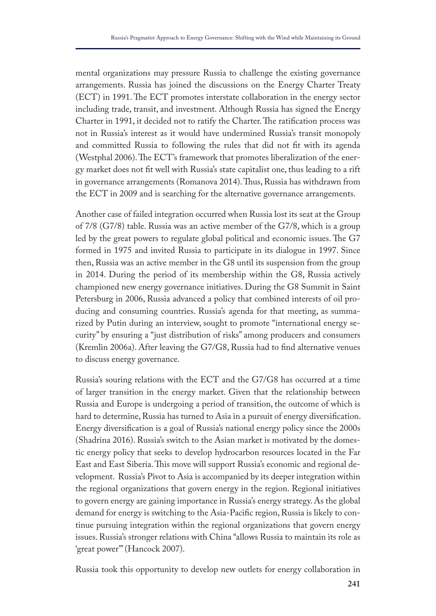mental organizations may pressure Russia to challenge the existing governance arrangements. Russia has joined the discussions on the Energy Charter Treaty (ECT) in 1991. The ECT promotes interstate collaboration in the energy sector including trade, transit, and investment. Although Russia has signed the Energy Charter in 1991, it decided not to ratify the Charter. The ratification process was not in Russia's interest as it would have undermined Russia's transit monopoly and committed Russia to following the rules that did not ft with its agenda (Westphal 2006). The ECT's framework that promotes liberalization of the energy market does not ft well with Russia's state capitalist one, thus leading to a rift in governance arrangements (Romanova 2014). Tus, Russia has withdrawn from the ECT in 2009 and is searching for the alternative governance arrangements.

Another case of failed integration occurred when Russia lost its seat at the Group of 7/8 (G7/8) table. Russia was an active member of the G7/8, which is a group led by the great powers to regulate global political and economic issues. The G7 formed in 1975 and invited Russia to participate in its dialogue in 1997. Since then, Russia was an active member in the G8 until its suspension from the group in 2014. During the period of its membership within the G8, Russia actively championed new energy governance initiatives. During the G8 Summit in Saint Petersburg in 2006, Russia advanced a policy that combined interests of oil producing and consuming countries. Russia's agenda for that meeting, as summarized by Putin during an interview, sought to promote "international energy security" by ensuring a "just distribution of risks" among producers and consumers (Kremlin 2006a). After leaving the G7/G8, Russia had to fnd alternative venues to discuss energy governance.

Russia's souring relations with the ECT and the G7/G8 has occurred at a time of larger transition in the energy market. Given that the relationship between Russia and Europe is undergoing a period of transition, the outcome of which is hard to determine, Russia has turned to Asia in a pursuit of energy diversifcation. Energy diversifcation is a goal of Russia's national energy policy since the 2000s (Shadrina 2016). Russia's switch to the Asian market is motivated by the domestic energy policy that seeks to develop hydrocarbon resources located in the Far East and East Siberia. This move will support Russia's economic and regional development. Russia's Pivot to Asia is accompanied by its deeper integration within the regional organizations that govern energy in the region. Regional initiatives to govern energy are gaining importance in Russia's energy strategy. As the global demand for energy is switching to the Asia-Pacifc region, Russia is likely to continue pursuing integration within the regional organizations that govern energy issues. Russia's stronger relations with China "allows Russia to maintain its role as 'great power'" (Hancock 2007).

Russia took this opportunity to develop new outlets for energy collaboration in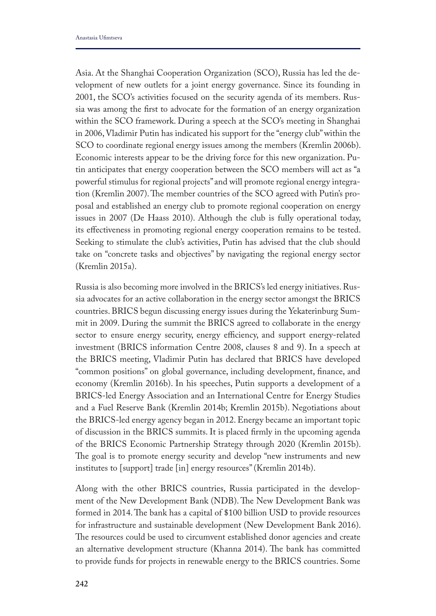Asia. At the Shanghai Cooperation Organization (SCO), Russia has led the development of new outlets for a joint energy governance. Since its founding in 2001, the SCO's activities focused on the security agenda of its members. Russia was among the frst to advocate for the formation of an energy organization within the SCO framework. During a speech at the SCO's meeting in Shanghai in 2006, Vladimir Putin has indicated his support for the "energy club" within the SCO to coordinate regional energy issues among the members (Kremlin 2006b). Economic interests appear to be the driving force for this new organization. Putin anticipates that energy cooperation between the SCO members will act as "a powerful stimulus for regional projects" and will promote regional energy integration (Kremlin 2007). The member countries of the SCO agreed with Putin's proposal and established an energy club to promote regional cooperation on energy issues in 2007 (De Haass 2010). Although the club is fully operational today, its efectiveness in promoting regional energy cooperation remains to be tested. Seeking to stimulate the club's activities, Putin has advised that the club should take on "concrete tasks and objectives" by navigating the regional energy sector (Kremlin 2015a).

Russia is also becoming more involved in the BRICS's led energy initiatives. Russia advocates for an active collaboration in the energy sector amongst the BRICS countries. BRICS begun discussing energy issues during the Yekaterinburg Summit in 2009. During the summit the BRICS agreed to collaborate in the energy sector to ensure energy security, energy efficiency, and support energy-related investment (BRICS information Centre 2008, clauses 8 and 9). In a speech at the BRICS meeting, Vladimir Putin has declared that BRICS have developed "common positions" on global governance, including development, fnance, and economy (Kremlin 2016b). In his speeches, Putin supports a development of a BRICS-led Energy Association and an International Centre for Energy Studies and a Fuel Reserve Bank (Kremlin 2014b; Kremlin 2015b). Negotiations about the BRICS-led energy agency began in 2012. Energy became an important topic of discussion in the BRICS summits. It is placed frmly in the upcoming agenda of the BRICS Economic Partnership Strategy through 2020 (Kremlin 2015b). The goal is to promote energy security and develop "new instruments and new institutes to [support] trade [in] energy resources" (Kremlin 2014b).

Along with the other BRICS countries, Russia participated in the development of the New Development Bank (NDB). The New Development Bank was formed in 2014. The bank has a capital of \$100 billion USD to provide resources for infrastructure and sustainable development (New Development Bank 2016). The resources could be used to circumvent established donor agencies and create an alternative development structure (Khanna 2014). The bank has committed to provide funds for projects in renewable energy to the BRICS countries. Some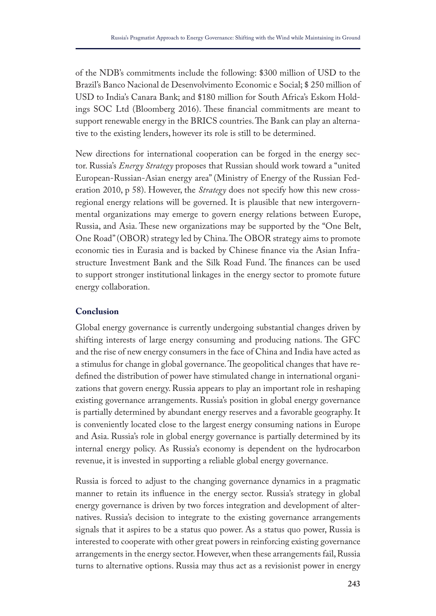of the NDB's commitments include the following: \$300 million of USD to the Brazil's Banco Nacional de Desenvolvimento Economic e Social; \$ 250 million of USD to India's Canara Bank; and \$180 million for South Africa's Eskom Holdings SOC Ltd (Bloomberg 2016). These financial commitments are meant to support renewable energy in the BRICS countries. The Bank can play an alternative to the existing lenders, however its role is still to be determined.

New directions for international cooperation can be forged in the energy sector. Russia's *Energy Strategy* proposes that Russian should work toward a "united European-Russian-Asian energy area" (Ministry of Energy of the Russian Federation 2010, p 58). However, the *Strategy* does not specify how this new crossregional energy relations will be governed. It is plausible that new intergovernmental organizations may emerge to govern energy relations between Europe, Russia, and Asia. These new organizations may be supported by the "One Belt, One Road" (OBOR) strategy led by China. The OBOR strategy aims to promote economic ties in Eurasia and is backed by Chinese fnance via the Asian Infrastructure Investment Bank and the Silk Road Fund. The finances can be used to support stronger institutional linkages in the energy sector to promote future energy collaboration.

## **Conclusion**

Global energy governance is currently undergoing substantial changes driven by shifting interests of large energy consuming and producing nations. The GFC and the rise of new energy consumers in the face of China and India have acted as a stimulus for change in global governance. The geopolitical changes that have redefned the distribution of power have stimulated change in international organizations that govern energy. Russia appears to play an important role in reshaping existing governance arrangements. Russia's position in global energy governance is partially determined by abundant energy reserves and a favorable geography. It is conveniently located close to the largest energy consuming nations in Europe and Asia. Russia's role in global energy governance is partially determined by its internal energy policy. As Russia's economy is dependent on the hydrocarbon revenue, it is invested in supporting a reliable global energy governance.

Russia is forced to adjust to the changing governance dynamics in a pragmatic manner to retain its infuence in the energy sector. Russia's strategy in global energy governance is driven by two forces integration and development of alternatives. Russia's decision to integrate to the existing governance arrangements signals that it aspires to be a status quo power. As a status quo power, Russia is interested to cooperate with other great powers in reinforcing existing governance arrangements in the energy sector. However, when these arrangements fail, Russia turns to alternative options. Russia may thus act as a revisionist power in energy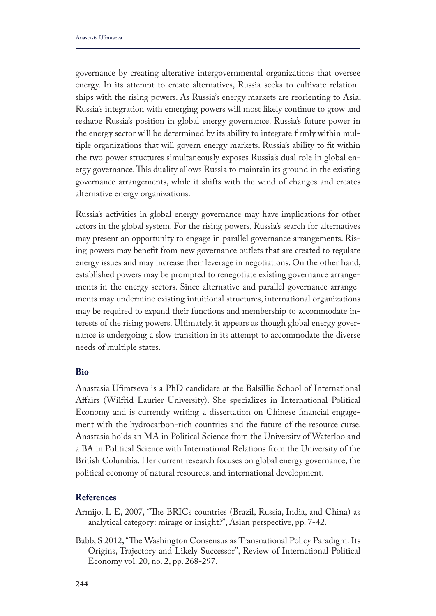governance by creating alterative intergovernmental organizations that oversee energy. In its attempt to create alternatives, Russia seeks to cultivate relationships with the rising powers. As Russia's energy markets are reorienting to Asia, Russia's integration with emerging powers will most likely continue to grow and reshape Russia's position in global energy governance. Russia's future power in the energy sector will be determined by its ability to integrate frmly within multiple organizations that will govern energy markets. Russia's ability to ft within the two power structures simultaneously exposes Russia's dual role in global energy governance. This duality allows Russia to maintain its ground in the existing governance arrangements, while it shifts with the wind of changes and creates alternative energy organizations.

Russia's activities in global energy governance may have implications for other actors in the global system. For the rising powers, Russia's search for alternatives may present an opportunity to engage in parallel governance arrangements. Rising powers may beneft from new governance outlets that are created to regulate energy issues and may increase their leverage in negotiations. On the other hand, established powers may be prompted to renegotiate existing governance arrangements in the energy sectors. Since alternative and parallel governance arrangements may undermine existing intuitional structures, international organizations may be required to expand their functions and membership to accommodate interests of the rising powers. Ultimately, it appears as though global energy governance is undergoing a slow transition in its attempt to accommodate the diverse needs of multiple states.

## **Bio**

Anastasia Ufmtseva is a PhD candidate at the Balsillie School of International Afairs (Wilfrid Laurier University). She specializes in International Political Economy and is currently writing a dissertation on Chinese fnancial engagement with the hydrocarbon-rich countries and the future of the resource curse. Anastasia holds an MA in Political Science from the University of Waterloo and a BA in Political Science with International Relations from the University of the British Columbia. Her current research focuses on global energy governance, the political economy of natural resources, and international development.

## **References**

- Armijo, L E, 2007, "The BRICs countries (Brazil, Russia, India, and China) as analytical category: mirage or insight?", Asian perspective, pp. 7-42.
- Babb, S 2012, "The Washington Consensus as Transnational Policy Paradigm: Its Origins, Trajectory and Likely Successor", Review of International Political Economy vol. 20, no. 2, pp. 268-297.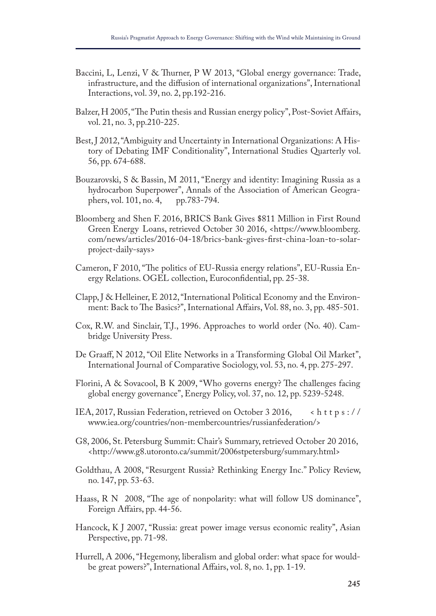- Baccini, L, Lenzi, V & Thurner, P W 2013, "Global energy governance: Trade, infrastructure, and the difusion of international organizations", International Interactions, vol. 39, no. 2, pp.192-216.
- Balzer, H 2005, "The Putin thesis and Russian energy policy", Post-Soviet Affairs, vol. 21, no. 3, pp.210-225.
- Best, J 2012, "Ambiguity and Uncertainty in International Organizations: A History of Debating IMF Conditionality", International Studies Quarterly vol. 56, pp. 674-688.
- Bouzarovski, S & Bassin, M 2011, "Energy and identity: Imagining Russia as a hydrocarbon Superpower", Annals of the Association of American Geographers, vol. 101, no. 4, pp.783-794.
- Bloomberg and Shen F. 2016, BRICS Bank Gives \$811 Million in First Round Green Energy Loans, retrieved October 30 2016, <https://www.bloomberg. com/news/articles/2016-04-18/brics-bank-gives-frst-china-loan-to-solarproject-daily-says>
- Cameron, F 2010, "The politics of EU-Russia energy relations", EU-Russia Energy Relations. OGEL collection, Euroconfdential, pp. 25-38.
- Clapp, J & Helleiner, E 2012, "International Political Economy and the Environment: Back to The Basics?", International Affairs, Vol. 88, no. 3, pp. 485-501.
- Cox, R.W. and Sinclair, T.J., 1996. Approaches to world order (No. 40). Cambridge University Press.
- De Graaf, N 2012, "Oil Elite Networks in a Transforming Global Oil Market", International Journal of Comparative Sociology, vol. 53, no. 4, pp. 275-297.
- Florini,  $A \&$  Sovacool, B K 2009, "Who governs energy? The challenges facing global energy governance", Energy Policy, vol. 37, no. 12, pp. 5239-5248.
- IEA, 2017, Russian Federation, retrieved on October 3 2016,  $\kappa$  t t p s :// www.iea.org/countries/non-membercountries/russianfederation/>
- G8, 2006, St. Petersburg Summit: Chair's Summary, retrieved October 20 2016, <http://www.g8.utoronto.ca/summit/2006stpetersburg/summary.html>
- Goldthau, A 2008, "Resurgent Russia? Rethinking Energy Inc." Policy Review, no. 147, pp. 53-63.
- Haass, R N 2008, "The age of nonpolarity: what will follow US dominance", Foreign Afairs, pp. 44-56.
- Hancock, K J 2007, "Russia: great power image versus economic reality", Asian Perspective, pp. 71-98.
- Hurrell, A 2006, "Hegemony, liberalism and global order: what space for wouldbe great powers?", International Afairs, vol. 8, no. 1, pp. 1-19.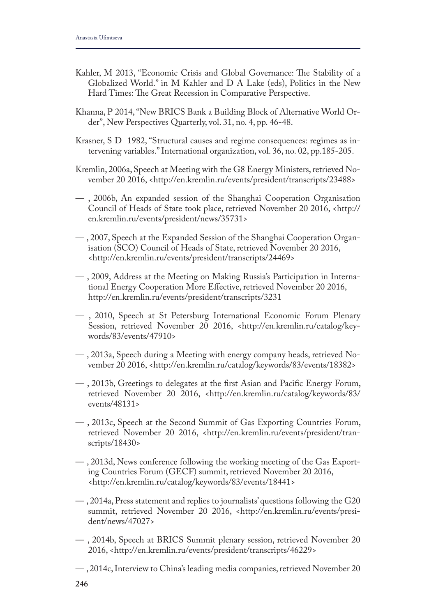- Kahler, M 2013, "Economic Crisis and Global Governance: The Stability of a Globalized World." in M Kahler and D A Lake (eds), Politics in the New Hard Times: The Great Recession in Comparative Perspective.
- Khanna, P 2014, "New BRICS Bank a Building Block of Alternative World Order", New Perspectives Quarterly, vol. 31, no. 4, pp. 46-48.
- Krasner, S D 1982, "Structural causes and regime consequences: regimes as intervening variables." International organization, vol. 36, no. 02, pp.185-205.
- Kremlin, 2006a, Speech at Meeting with the G8 Energy Ministers, retrieved November 20 2016, <http://en.kremlin.ru/events/president/transcripts/23488>
- , 2006b, An expanded session of the Shanghai Cooperation Organisation Council of Heads of State took place, retrieved November 20 2016, <http:// en.kremlin.ru/events/president/news/35731>
- , 2007, Speech at the Expanded Session of the Shanghai Cooperation Organisation (SCO) Council of Heads of State, retrieved November 20 2016, <http://en.kremlin.ru/events/president/transcripts/24469>
- , 2009, Address at the Meeting on Making Russia's Participation in International Energy Cooperation More Efective, retrieved November 20 2016, http://en.kremlin.ru/events/president/transcripts/3231
- , 2010, Speech at St Petersburg International Economic Forum Plenary Session, retrieved November 20 2016, <http://en.kremlin.ru/catalog/keywords/83/events/47910>
- , 2013a, Speech during a Meeting with energy company heads, retrieved November 20 2016, <http://en.kremlin.ru/catalog/keywords/83/events/18382>
- , 2013b, Greetings to delegates at the frst Asian and Pacifc Energy Forum, retrieved November 20 2016, <http://en.kremlin.ru/catalog/keywords/83/ events/48131>
- , 2013c, Speech at the Second Summit of Gas Exporting Countries Forum, retrieved November 20 2016, <http://en.kremlin.ru/events/president/transcripts/18430>
- , 2013d, News conference following the working meeting of the Gas Exporting Countries Forum (GECF) summit, retrieved November 20 2016, <http://en.kremlin.ru/catalog/keywords/83/events/18441>
- , 2014a, Press statement and replies to journalists' questions following the G20 summit, retrieved November 20 2016, <http://en.kremlin.ru/events/president/news/47027>
- , 2014b, Speech at BRICS Summit plenary session, retrieved November 20 2016, <http://en.kremlin.ru/events/president/transcripts/46229>
- , 2014c, Interview to China's leading media companies, retrieved November 20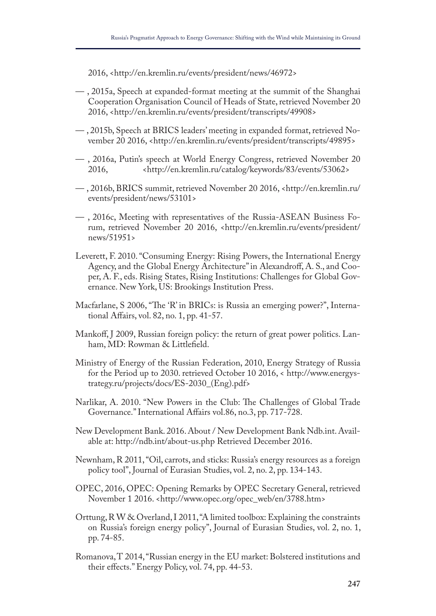2016, <http://en.kremlin.ru/events/president/news/46972>

- , 2015a, Speech at expanded-format meeting at the summit of the Shanghai Cooperation Organisation Council of Heads of State, retrieved November 20 2016, <http://en.kremlin.ru/events/president/transcripts/49908>
- , 2015b, Speech at BRICS leaders' meeting in expanded format, retrieved November 20 2016, <http://en.kremlin.ru/events/president/transcripts/49895>
- , 2016a, Putin's speech at World Energy Congress, retrieved November 20 2016, <http://en.kremlin.ru/catalog/keywords/83/events/53062>
- , 2016b, BRICS summit, retrieved November 20 2016, <http://en.kremlin.ru/ events/president/news/53101>
- , 2016c, Meeting with representatives of the Russia-ASEAN Business Forum, retrieved November 20 2016, <http://en.kremlin.ru/events/president/ news/51951>
- Leverett, F. 2010. "Consuming Energy: Rising Powers, the International Energy Agency, and the Global Energy Architecture" in Alexandroff, A. S., and Cooper, A. F., eds. Rising States, Rising Institutions: Challenges for Global Governance. New York, US: Brookings Institution Press.
- Macfarlane, S 2006, "The 'R' in BRICs: is Russia an emerging power?", International Afairs, vol. 82, no. 1, pp. 41-57.
- Mankof, J 2009, Russian foreign policy: the return of great power politics. Lanham, MD: Rowman & Littlefeld.
- Ministry of Energy of the Russian Federation, 2010, Energy Strategy of Russia for the Period up to 2030. retrieved October 10 2016, < http://www.energystrategy.ru/projects/docs/ES-2030\_(Eng).pdf>
- Narlikar, A. 2010. "New Powers in the Club: The Challenges of Global Trade Governance." International Afairs vol.86, no.3, pp. 717-728.
- New Development Bank. 2016. About / New Development Bank Ndb.int. Available at: http://ndb.int/about-us.php Retrieved December 2016.
- Newnham, R 2011, "Oil, carrots, and sticks: Russia's energy resources as a foreign policy tool", Journal of Eurasian Studies, vol. 2, no. 2, pp. 134-143.
- OPEC, 2016, OPEC: Opening Remarks by OPEC Secretary General, retrieved November 1 2016. <http://www.opec.org/opec\_web/en/3788.htm>
- Orttung, R W & Overland, I 2011, "A limited toolbox: Explaining the constraints on Russia's foreign energy policy", Journal of Eurasian Studies, vol. 2, no. 1, pp. 74-85.
- Romanova, T 2014, "Russian energy in the EU market: Bolstered institutions and their efects." Energy Policy, vol. 74, pp. 44-53.